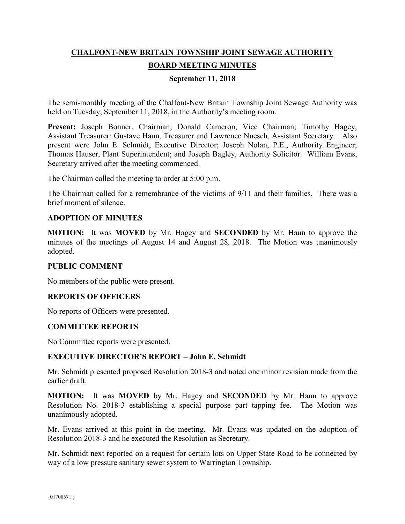# **CHALFONT-NEW BRITAIN TOWNSHIP JOINT SEWAGE AUTHORITY BOARD MEETING MINUTES**

## **September 11, 2018**

The semi-monthly meeting of the Chalfont-New Britain Township Joint Sewage Authority was held on Tuesday, September 11, 2018, in the Authority's meeting room.

**Present:** Joseph Bonner, Chairman; Donald Cameron, Vice Chairman; Timothy Hagey, Assistant Treasurer; Gustave Haun, Treasurer and Lawrence Nuesch, Assistant Secretary. Also present were John E. Schmidt, Executive Director; Joseph Nolan, P.E., Authority Engineer; Thomas Hauser, Plant Superintendent; and Joseph Bagley, Authority Solicitor. William Evans, Secretary arrived after the meeting commenced.

The Chairman called the meeting to order at 5:00 p.m.

The Chairman called for a remembrance of the victims of 9/11 and their families. There was a brief moment of silence.

## **ADOPTION OF MINUTES**

**MOTION:** It was **MOVED** by Mr. Hagey and **SECONDED** by Mr. Haun to approve the minutes of the meetings of August 14 and August 28, 2018. The Motion was unanimously adopted.

#### **PUBLIC COMMENT**

No members of the public were present.

#### **REPORTS OF OFFICERS**

No reports of Officers were presented.

#### **COMMITTEE REPORTS**

No Committee reports were presented.

#### **EXECUTIVE DIRECTOR'S REPORT – John E. Schmidt**

Mr. Schmidt presented proposed Resolution 2018-3 and noted one minor revision made from the earlier draft.

**MOTION:** It was **MOVED** by Mr. Hagey and **SECONDED** by Mr. Haun to approve Resolution No. 2018-3 establishing a special purpose part tapping fee. The Motion was unanimously adopted.

Mr. Evans arrived at this point in the meeting. Mr. Evans was updated on the adoption of Resolution 2018-3 and he executed the Resolution as Secretary.

Mr. Schmidt next reported on a request for certain lots on Upper State Road to be connected by way of a low pressure sanitary sewer system to Warrington Township.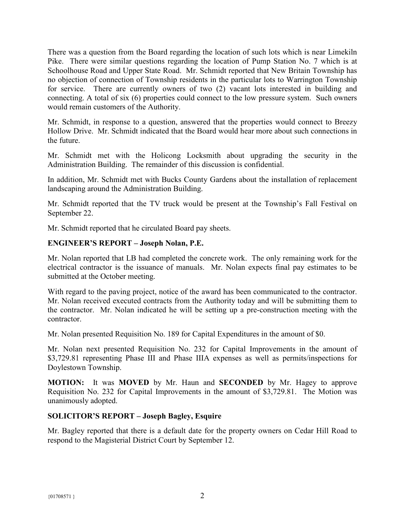There was a question from the Board regarding the location of such lots which is near Limekiln Pike. There were similar questions regarding the location of Pump Station No. 7 which is at Schoolhouse Road and Upper State Road. Mr. Schmidt reported that New Britain Township has no objection of connection of Township residents in the particular lots to Warrington Township for service. There are currently owners of two (2) vacant lots interested in building and connecting. A total of six (6) properties could connect to the low pressure system. Such owners would remain customers of the Authority.

Mr. Schmidt, in response to a question, answered that the properties would connect to Breezy Hollow Drive. Mr. Schmidt indicated that the Board would hear more about such connections in the future.

Mr. Schmidt met with the Holicong Locksmith about upgrading the security in the Administration Building. The remainder of this discussion is confidential.

In addition, Mr. Schmidt met with Bucks County Gardens about the installation of replacement landscaping around the Administration Building.

Mr. Schmidt reported that the TV truck would be present at the Township's Fall Festival on September 22.

Mr. Schmidt reported that he circulated Board pay sheets.

## **ENGINEER'S REPORT – Joseph Nolan, P.E.**

Mr. Nolan reported that LB had completed the concrete work. The only remaining work for the electrical contractor is the issuance of manuals. Mr. Nolan expects final pay estimates to be submitted at the October meeting.

With regard to the paving project, notice of the award has been communicated to the contractor. Mr. Nolan received executed contracts from the Authority today and will be submitting them to the contractor. Mr. Nolan indicated he will be setting up a pre-construction meeting with the contractor.

Mr. Nolan presented Requisition No. 189 for Capital Expenditures in the amount of \$0.

Mr. Nolan next presented Requisition No. 232 for Capital Improvements in the amount of \$3,729.81 representing Phase III and Phase IIIA expenses as well as permits/inspections for Doylestown Township.

**MOTION:** It was **MOVED** by Mr. Haun and **SECONDED** by Mr. Hagey to approve Requisition No. 232 for Capital Improvements in the amount of \$3,729.81. The Motion was unanimously adopted.

# **SOLICITOR'S REPORT – Joseph Bagley, Esquire**

Mr. Bagley reported that there is a default date for the property owners on Cedar Hill Road to respond to the Magisterial District Court by September 12.